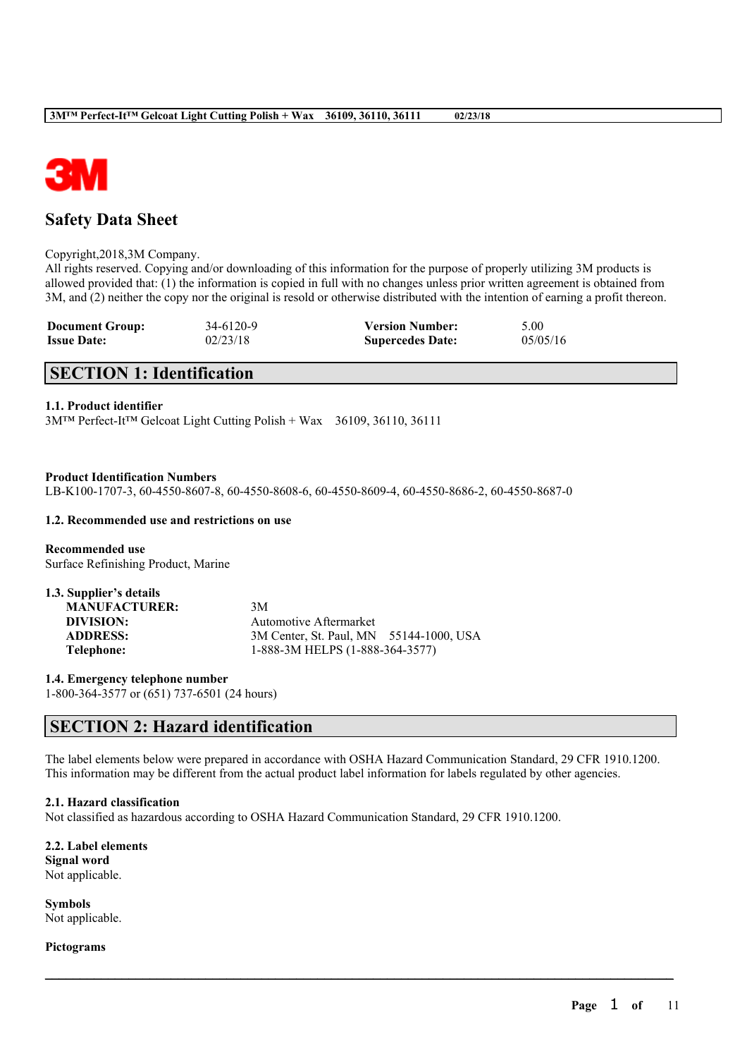

# **Safety Data Sheet**

#### Copyright,2018,3M Company.

All rights reserved. Copying and/or downloading of this information for the purpose of properly utilizing 3M products is allowed provided that: (1) the information is copied in full with no changes unless prior written agreement is obtained from 3M, and (2) neither the copy nor the original is resold or otherwise distributed with the intention of earning a profit thereon.

| <b>Document Group:</b> | 34-6120-9 | <b>Version Number:</b>  | 5.00     |
|------------------------|-----------|-------------------------|----------|
| <b>Issue Date:</b>     | 02/23/18  | <b>Supercedes Date:</b> | 05/05/16 |

# **SECTION 1: Identification**

## **1.1. Product identifier**

3M™ Perfect-It™ Gelcoat Light Cutting Polish + Wax 36109, 36110, 36111

**Product Identification Numbers** LB-K100-1707-3, 60-4550-8607-8, 60-4550-8608-6, 60-4550-8609-4, 60-4550-8686-2, 60-4550-8687-0

#### **1.2. Recommended use and restrictions on use**

**Recommended use** Surface Refinishing Product, Marine

| 1.3. Supplier's details |                                         |
|-------------------------|-----------------------------------------|
| <b>MANUFACTURER:</b>    | 3M                                      |
| DIVISION:               | Automotive Aftermarket                  |
| <b>ADDRESS:</b>         | 3M Center, St. Paul, MN 55144-1000, USA |
| Telephone:              | 1-888-3M HELPS (1-888-364-3577)         |
|                         |                                         |

**1.4. Emergency telephone number** 1-800-364-3577 or (651) 737-6501 (24 hours)

# **SECTION 2: Hazard identification**

The label elements below were prepared in accordance with OSHA Hazard Communication Standard, 29 CFR 1910.1200. This information may be different from the actual product label information for labels regulated by other agencies.

 $\mathcal{L}_\mathcal{L} = \mathcal{L}_\mathcal{L} = \mathcal{L}_\mathcal{L} = \mathcal{L}_\mathcal{L} = \mathcal{L}_\mathcal{L} = \mathcal{L}_\mathcal{L} = \mathcal{L}_\mathcal{L} = \mathcal{L}_\mathcal{L} = \mathcal{L}_\mathcal{L} = \mathcal{L}_\mathcal{L} = \mathcal{L}_\mathcal{L} = \mathcal{L}_\mathcal{L} = \mathcal{L}_\mathcal{L} = \mathcal{L}_\mathcal{L} = \mathcal{L}_\mathcal{L} = \mathcal{L}_\mathcal{L} = \mathcal{L}_\mathcal{L}$ 

## **2.1. Hazard classification**

Not classified as hazardous according to OSHA Hazard Communication Standard, 29 CFR 1910.1200.

**2.2. Label elements Signal word** Not applicable.

**Symbols** Not applicable.

**Pictograms**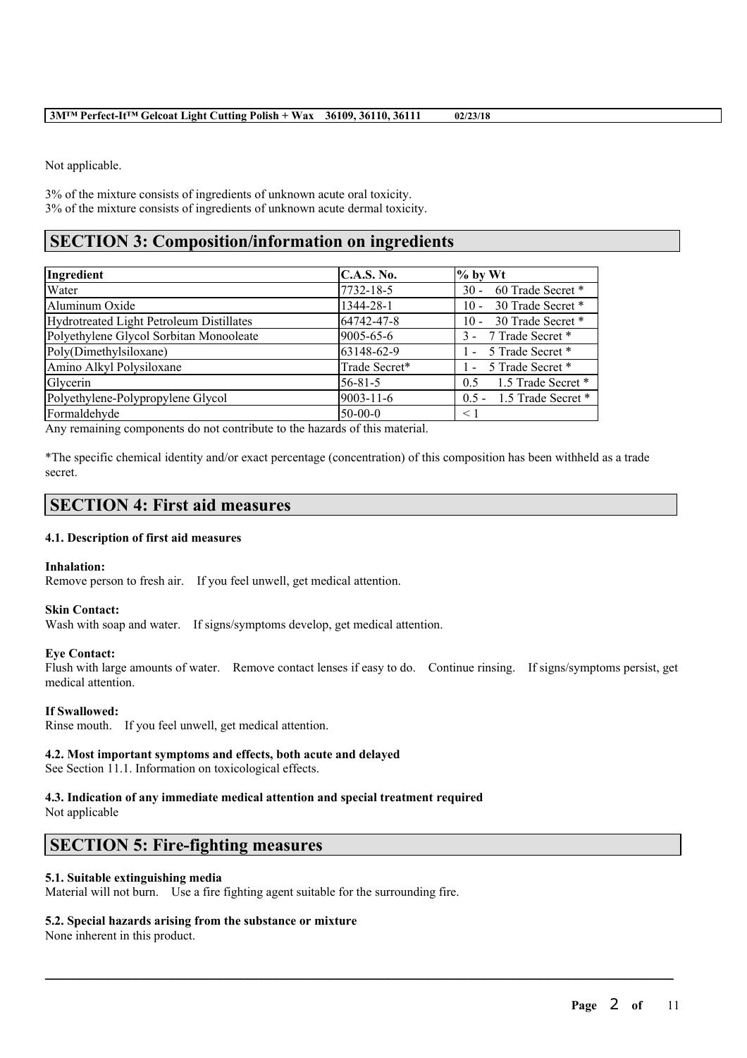Not applicable.

3% of the mixture consists of ingredients of unknown acute oral toxicity. 3% of the mixture consists of ingredients of unknown acute dermal toxicity.

# **SECTION 3: Composition/information on ingredients**

| Ingredient                               | <b>C.A.S. No.</b> | $\%$ by Wt                   |
|------------------------------------------|-------------------|------------------------------|
| Water                                    | 7732-18-5         | 60 Trade Secret *<br>$30 -$  |
| Aluminum Oxide                           | 1344-28-1         | 30 Trade Secret *<br>$10 -$  |
| Hydrotreated Light Petroleum Distillates | 64742-47-8        | 10 - 30 Trade Secret *       |
| Polyethylene Glycol Sorbitan Monooleate  | 9005-65-6         | 3 - 7 Trade Secret *         |
| Poly(Dimethylsiloxane)                   | 63148-62-9        | - 5 Trade Secret *           |
| Amino Alkyl Polysiloxane                 | Trade Secret*     | 1 - 5 Trade Secret *         |
| Glycerin                                 | $56 - 81 - 5$     | 1.5 Trade Secret *<br>0.5    |
| Polyethylene-Polypropylene Glycol        | $9003 - 11 - 6$   | $0.5 - 1.5$ Trade Secret $*$ |
| Formaldehyde                             | $50-00-0$         | $\leq$ 1                     |

Any remaining components do not contribute to the hazards of this material.

\*The specific chemical identity and/or exact percentage (concentration) of this composition has been withheld as a trade secret.

# **SECTION 4: First aid measures**

#### **4.1. Description of first aid measures**

#### **Inhalation:**

Remove person to fresh air. If you feel unwell, get medical attention.

#### **Skin Contact:**

Wash with soap and water. If signs/symptoms develop, get medical attention.

#### **Eye Contact:**

Flush with large amounts of water. Remove contact lenses if easy to do. Continue rinsing. If signs/symptoms persist, get medical attention.

 $\mathcal{L}_\mathcal{L} = \mathcal{L}_\mathcal{L} = \mathcal{L}_\mathcal{L} = \mathcal{L}_\mathcal{L} = \mathcal{L}_\mathcal{L} = \mathcal{L}_\mathcal{L} = \mathcal{L}_\mathcal{L} = \mathcal{L}_\mathcal{L} = \mathcal{L}_\mathcal{L} = \mathcal{L}_\mathcal{L} = \mathcal{L}_\mathcal{L} = \mathcal{L}_\mathcal{L} = \mathcal{L}_\mathcal{L} = \mathcal{L}_\mathcal{L} = \mathcal{L}_\mathcal{L} = \mathcal{L}_\mathcal{L} = \mathcal{L}_\mathcal{L}$ 

#### **If Swallowed:**

Rinse mouth. If you feel unwell, get medical attention.

## **4.2. Most important symptoms and effects, both acute and delayed**

See Section 11.1. Information on toxicological effects.

# **4.3. Indication of any immediate medical attention and special treatment required**

Not applicable

# **SECTION 5: Fire-fighting measures**

#### **5.1. Suitable extinguishing media**

Material will not burn. Use a fire fighting agent suitable for the surrounding fire.

# **5.2. Special hazards arising from the substance or mixture**

None inherent in this product.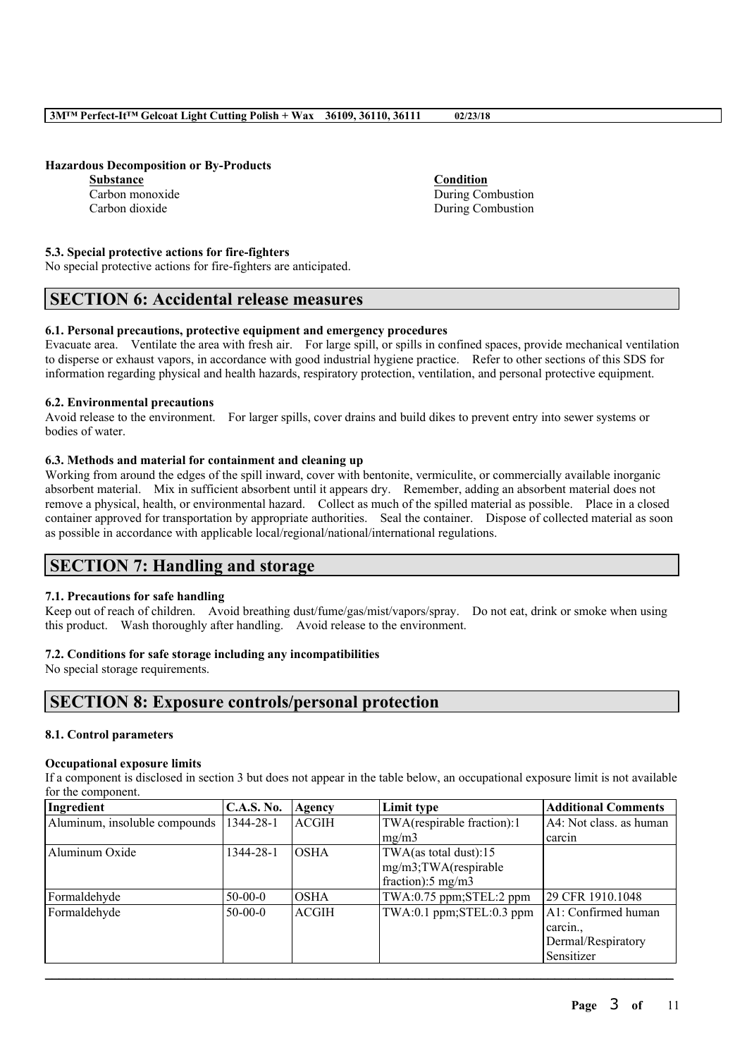**Hazardous Decomposition or By-Products**

**Substance Condition** Carbon monoxide During Combustion

Carbon dioxide During Combustion

## **5.3. Special protective actions for fire-fighters**

No special protective actions for fire-fighters are anticipated.

# **SECTION 6: Accidental release measures**

# **6.1. Personal precautions, protective equipment and emergency procedures**

Evacuate area. Ventilate the area with fresh air. For large spill, or spills in confined spaces, provide mechanical ventilation to disperse or exhaust vapors, in accordance with good industrial hygiene practice. Refer to other sections of this SDS for information regarding physical and health hazards, respiratory protection, ventilation, and personal protective equipment.

# **6.2. Environmental precautions**

Avoid release to the environment. For larger spills, cover drains and build dikes to prevent entry into sewer systems or bodies of water.

# **6.3. Methods and material for containment and cleaning up**

Working from around the edges of the spill inward, cover with bentonite, vermiculite, or commercially available inorganic absorbent material. Mix in sufficient absorbent until it appears dry. Remember, adding an absorbent material does not remove a physical, health, or environmental hazard. Collect as much of the spilled material as possible. Place in a closed container approved for transportation by appropriate authorities. Seal the container. Dispose of collected material as soon as possible in accordance with applicable local/regional/national/international regulations.

# **SECTION 7: Handling and storage**

# **7.1. Precautions for safe handling**

Keep out of reach of children. Avoid breathing dust/fume/gas/mist/vapors/spray. Do not eat, drink or smoke when using this product. Wash thoroughly after handling. Avoid release to the environment.

## **7.2. Conditions for safe storage including any incompatibilities**

No special storage requirements.

# **SECTION 8: Exposure controls/personal protection**

## **8.1. Control parameters**

## **Occupational exposure limits**

If a component is disclosed in section 3 but does not appear in the table below, an occupational exposure limit is not available for the component.

| Ingredient                    | <b>C.A.S. No.</b> | Agency      | Limit type                 | <b>Additional Comments</b> |
|-------------------------------|-------------------|-------------|----------------------------|----------------------------|
| Aluminum, insoluble compounds | 1344-28-1         | ACGIH       | TWA(respirable fraction):1 | A4: Not class. as human    |
|                               |                   |             | mg/m3                      | carcin                     |
| Aluminum Oxide                | 1344-28-1         | IOSHA       | TWA(as total dust): $15$   |                            |
|                               |                   |             | mg/m3;TWA(respirable       |                            |
|                               |                   |             | fraction):5 mg/m3          |                            |
| Formaldehyde                  | $50-00-0$         | <b>OSHA</b> | TWA:0.75 ppm;STEL:2 ppm    | 29 CFR 1910.1048           |
| Formaldehyde                  | $50-00-0$         | ACGIH_      | TWA:0.1 ppm;STEL:0.3 ppm   | A1: Confirmed human        |
|                               |                   |             |                            | carcin                     |
|                               |                   |             |                            | Dermal/Respiratory         |
|                               |                   |             |                            | Sensitizer                 |
|                               |                   |             |                            |                            |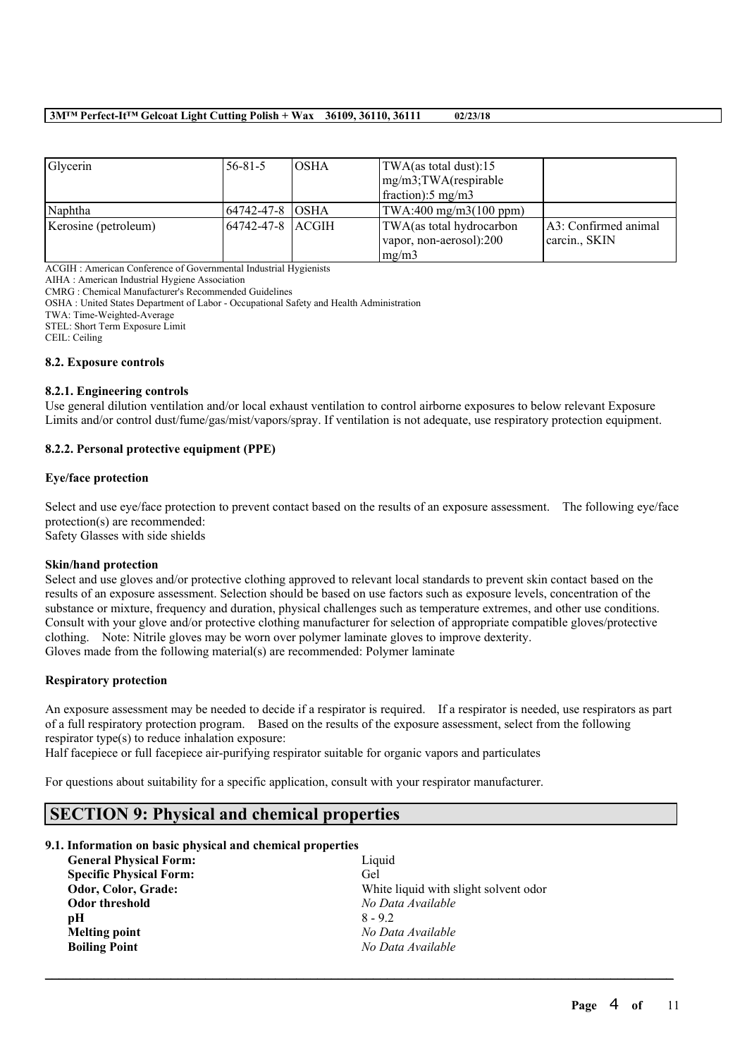| Glycerin             | 56-81-5           | IOSHA | TWA(as total dust):15                           |                      |
|----------------------|-------------------|-------|-------------------------------------------------|----------------------|
|                      |                   |       | $mg/m3$ ; TWA(respirable                        |                      |
|                      |                   |       | $frac{1}{2}$ fraction: 5 mg/m3                  |                      |
| Naphtha              | 164742-47-8 IOSHA |       | $\text{TWA}:400 \text{ mg/m3}(100 \text{ ppm})$ |                      |
| Kerosine (petroleum) | 64742-47-8 ACGIH  |       | TWA(as total hydrocarbon                        | A3: Confirmed animal |
|                      |                   |       | vapor, non-aerosol):200                         | carcin SKIN          |
|                      |                   |       | $\text{Im} \Omega / \text{m}$                   |                      |

ACGIH : American Conference of Governmental Industrial Hygienists

AIHA : American Industrial Hygiene Association

CMRG : Chemical Manufacturer's Recommended Guidelines OSHA : United States Department of Labor - Occupational Safety and Health Administration

TWA: Time-Weighted-Average

STEL: Short Term Exposure Limit

CEIL: Ceiling

### **8.2. Exposure controls**

## **8.2.1. Engineering controls**

Use general dilution ventilation and/or local exhaust ventilation to control airborne exposures to below relevant Exposure Limits and/or control dust/fume/gas/mist/vapors/spray. If ventilation is not adequate, use respiratory protection equipment.

## **8.2.2. Personal protective equipment (PPE)**

## **Eye/face protection**

Select and use eye/face protection to prevent contact based on the results of an exposure assessment. The following eye/face protection(s) are recommended:

Safety Glasses with side shields

## **Skin/hand protection**

Select and use gloves and/or protective clothing approved to relevant local standards to prevent skin contact based on the results of an exposure assessment. Selection should be based on use factors such as exposure levels, concentration of the substance or mixture, frequency and duration, physical challenges such as temperature extremes, and other use conditions. Consult with your glove and/or protective clothing manufacturer for selection of appropriate compatible gloves/protective clothing. Note: Nitrile gloves may be worn over polymer laminate gloves to improve dexterity. Gloves made from the following material(s) are recommended: Polymer laminate

## **Respiratory protection**

An exposure assessment may be needed to decide if a respirator is required. If a respirator is needed, use respirators as part of a full respiratory protection program. Based on the results of the exposure assessment, select from the following respirator type(s) to reduce inhalation exposure:

 $\mathcal{L}_\mathcal{L} = \mathcal{L}_\mathcal{L} = \mathcal{L}_\mathcal{L} = \mathcal{L}_\mathcal{L} = \mathcal{L}_\mathcal{L} = \mathcal{L}_\mathcal{L} = \mathcal{L}_\mathcal{L} = \mathcal{L}_\mathcal{L} = \mathcal{L}_\mathcal{L} = \mathcal{L}_\mathcal{L} = \mathcal{L}_\mathcal{L} = \mathcal{L}_\mathcal{L} = \mathcal{L}_\mathcal{L} = \mathcal{L}_\mathcal{L} = \mathcal{L}_\mathcal{L} = \mathcal{L}_\mathcal{L} = \mathcal{L}_\mathcal{L}$ 

Half facepiece or full facepiece air-purifying respirator suitable for organic vapors and particulates

For questions about suitability for a specific application, consult with your respirator manufacturer.

# **SECTION 9: Physical and chemical properties**

#### **9.1. Information on basic physical and chemical properties**

| <b>General Physical Form:</b>  | Liquid                                |
|--------------------------------|---------------------------------------|
| <b>Specific Physical Form:</b> | Gel                                   |
| Odor, Color, Grade:            | White liquid with slight solvent odor |
| Odor threshold                 | No Data Available                     |
| рH                             | $8 - 92$                              |
| <b>Melting point</b>           | No Data Available                     |
| <b>Boiling Point</b>           | No Data Available                     |
|                                |                                       |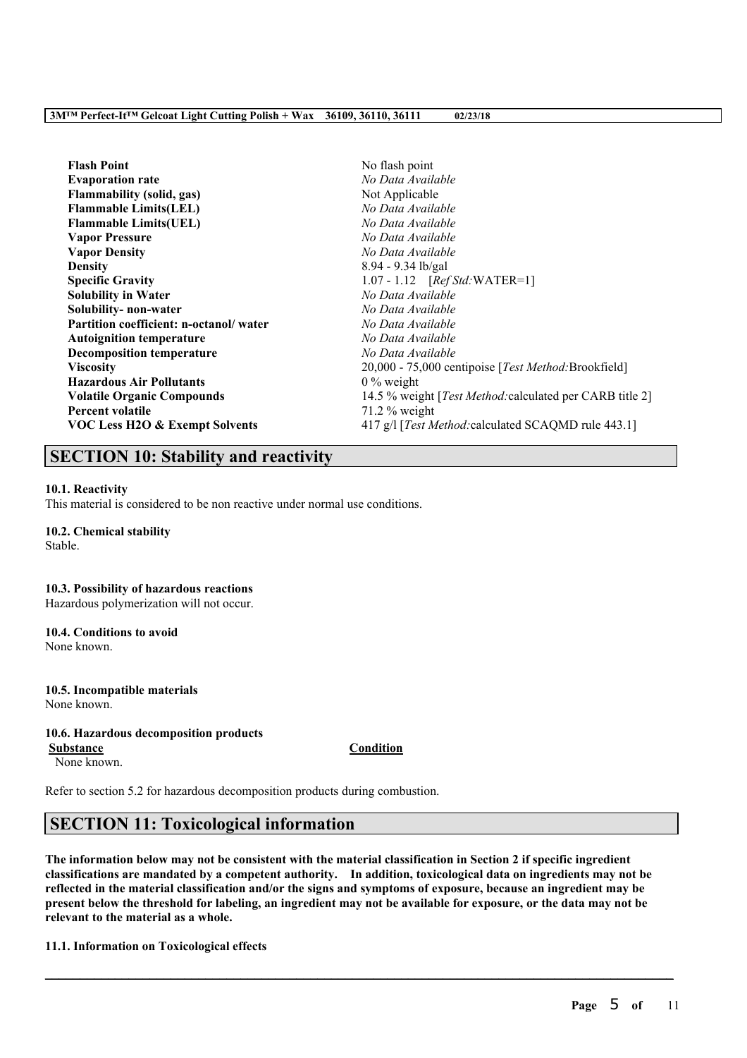| <b>Flash Point</b>                        | No flash point                                                   |
|-------------------------------------------|------------------------------------------------------------------|
| <b>Evaporation rate</b>                   | No Data Available                                                |
| Flammability (solid, gas)                 | Not Applicable                                                   |
| <b>Flammable Limits(LEL)</b>              | No Data Available                                                |
| <b>Flammable Limits(UEL)</b>              | No Data Available                                                |
| <b>Vapor Pressure</b>                     | No Data Available                                                |
| <b>Vapor Density</b>                      | No Data Available                                                |
| <b>Density</b>                            | $8.94 - 9.34$ lb/gal                                             |
| <b>Specific Gravity</b>                   | 1.07 - 1.12 $[RefStd:WATER=1]$                                   |
| <b>Solubility in Water</b>                | No Data Available                                                |
| Solubility- non-water                     | No Data Available                                                |
| Partition coefficient: n-octanol/water    | No Data Available                                                |
| <b>Autoignition temperature</b>           | No Data Available                                                |
| <b>Decomposition temperature</b>          | No Data Available                                                |
| <b>Viscosity</b>                          | 20,000 - 75,000 centipoise [Test Method: Brookfield]             |
| <b>Hazardous Air Pollutants</b>           | $0\%$ weight                                                     |
| <b>Volatile Organic Compounds</b>         | 14.5 % weight [ <i>Test Method:calculated per CARB title 2</i> ] |
| <b>Percent volatile</b>                   | $71.2\%$ weight                                                  |
| <b>VOC Less H2O &amp; Exempt Solvents</b> | 417 g/l [Test Method: calculated SCAQMD rule 443.1]              |

# **SECTION 10: Stability and reactivity**

#### **10.1. Reactivity**

This material is considered to be non reactive under normal use conditions.

#### **10.2. Chemical stability**

Stable.

#### **10.3. Possibility of hazardous reactions**

Hazardous polymerization will not occur.

# **10.4. Conditions to avoid**

None known.

#### **10.5. Incompatible materials** None known.

#### **10.6. Hazardous decomposition products**

None known.

Refer to section 5.2 for hazardous decomposition products during combustion.

# **SECTION 11: Toxicological information**

The information below may not be consistent with the material classification in Section 2 if specific ingredient **classifications are mandated by a competent authority. In addition, toxicological data on ingredients may not be** reflected in the material classification and/or the signs and symptoms of exposure, because an ingredient may be present below the threshold for labeling, an ingredient may not be available for exposure, or the data may not be **relevant to the material as a whole.**

 $\mathcal{L}_\mathcal{L} = \mathcal{L}_\mathcal{L} = \mathcal{L}_\mathcal{L} = \mathcal{L}_\mathcal{L} = \mathcal{L}_\mathcal{L} = \mathcal{L}_\mathcal{L} = \mathcal{L}_\mathcal{L} = \mathcal{L}_\mathcal{L} = \mathcal{L}_\mathcal{L} = \mathcal{L}_\mathcal{L} = \mathcal{L}_\mathcal{L} = \mathcal{L}_\mathcal{L} = \mathcal{L}_\mathcal{L} = \mathcal{L}_\mathcal{L} = \mathcal{L}_\mathcal{L} = \mathcal{L}_\mathcal{L} = \mathcal{L}_\mathcal{L}$ 

#### **11.1. Information on Toxicological effects**

#### **Substance Condition**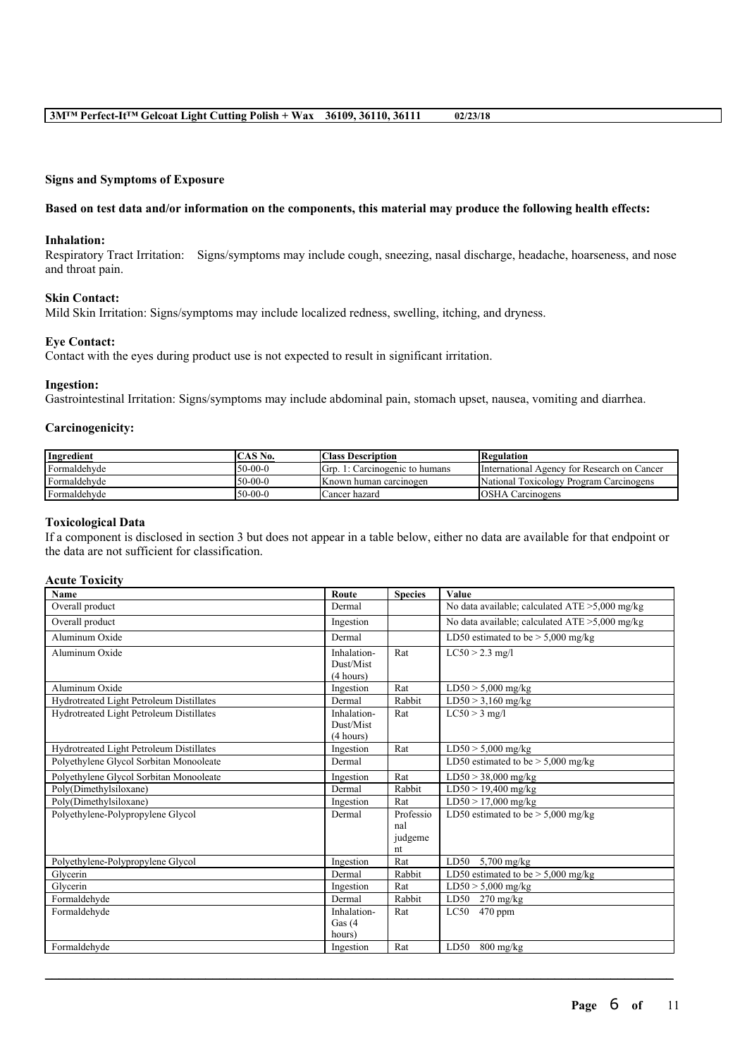#### **Signs and Symptoms of Exposure**

### Based on test data and/or information on the components, this material may produce the following health effects:

## **Inhalation:**

Respiratory Tract Irritation: Signs/symptoms may include cough, sneezing, nasal discharge, headache, hoarseness, and nose and throat pain.

## **Skin Contact:**

Mild Skin Irritation: Signs/symptoms may include localized redness, swelling, itching, and dryness.

#### **Eye Contact:**

Contact with the eyes during product use is not expected to result in significant irritation.

#### **Ingestion:**

Gastrointestinal Irritation: Signs/symptoms may include abdominal pain, stomach upset, nausea, vomiting and diarrhea.

#### **Carcinogenicity:**

| Ingredient   | CAS No.   | <b>Class Description</b>       | Regulation                                  |
|--------------|-----------|--------------------------------|---------------------------------------------|
| Formaldehyde | $50-00-0$ | Gro. 1: Carcinogenic to humans | International Agency for Research on Cancer |
| Formaldehyde | $50-00-0$ | IKnown human carcinogen        | National Toxicology Program Carcinogens     |
| Formaldehyde | $50-00-0$ | Cancer hazard                  | <b>IOSHA Carcinogens</b>                    |

#### **Toxicological Data**

If a component is disclosed in section 3 but does not appear in a table below, either no data are available for that endpoint or the data are not sufficient for classification.

## **Acute Toxicity**

| Name                                     | Route       | <b>Species</b> | Value                                             |
|------------------------------------------|-------------|----------------|---------------------------------------------------|
| Overall product                          | Dermal      |                | No data available; calculated $ATE > 5,000$ mg/kg |
| Overall product                          | Ingestion   |                | No data available; calculated $ATE > 5,000$ mg/kg |
| Aluminum Oxide                           | Dermal      |                | LD50 estimated to be $> 5,000$ mg/kg              |
| Aluminum Oxide                           | Inhalation- | Rat            | $LC50 > 2.3$ mg/l                                 |
|                                          | Dust/Mist   |                |                                                   |
|                                          | (4 hours)   |                |                                                   |
| Aluminum Oxide                           | Ingestion   | Rat            | $LD50 > 5,000$ mg/kg                              |
| Hydrotreated Light Petroleum Distillates | Dermal      | Rabbit         | $LD50 > 3,160$ mg/kg                              |
| Hydrotreated Light Petroleum Distillates | Inhalation- | Rat            | $LC50 > 3$ mg/l                                   |
|                                          | Dust/Mist   |                |                                                   |
|                                          | (4 hours)   |                |                                                   |
| Hydrotreated Light Petroleum Distillates | Ingestion   | Rat            | $LD50 > 5,000$ mg/kg                              |
| Polyethylene Glycol Sorbitan Monooleate  | Dermal      |                | LD50 estimated to be $> 5,000$ mg/kg              |
| Polyethylene Glycol Sorbitan Monooleate  | Ingestion   | Rat            | $LD50 > 38,000$ mg/kg                             |
| Poly(Dimethylsiloxane)                   | Dermal      | Rabbit         | $LD50 > 19,400$ mg/kg                             |
| Poly(Dimethylsiloxane)                   | Ingestion   | Rat            | $LD50 > 17,000$ mg/kg                             |
| Polyethylene-Polypropylene Glycol        | Dermal      | Professio      | LD50 estimated to be $> 5,000$ mg/kg              |
|                                          |             | nal            |                                                   |
|                                          |             | judgeme        |                                                   |
|                                          |             | nt             |                                                   |
| Polyethylene-Polypropylene Glycol        | Ingestion   | Rat            | LD50 5,700 mg/kg                                  |
| Glycerin                                 | Dermal      | Rabbit         | LD50 estimated to be $>$ 5,000 mg/kg              |
| Glycerin                                 | Ingestion   | Rat            | $LD50 > 5,000$ mg/kg                              |
| Formaldehyde                             | Dermal      | Rabbit         | LD50 $270$ mg/kg                                  |
| Formaldehyde                             | Inhalation- | Rat            | LC50 $470$ ppm                                    |
|                                          | Gas $(4)$   |                |                                                   |
|                                          | hours)      |                |                                                   |
| Formaldehyde                             | Ingestion   | Rat            | LD50<br>$800$ mg/kg                               |

 $\mathcal{L}_\mathcal{L} = \mathcal{L}_\mathcal{L} = \mathcal{L}_\mathcal{L} = \mathcal{L}_\mathcal{L} = \mathcal{L}_\mathcal{L} = \mathcal{L}_\mathcal{L} = \mathcal{L}_\mathcal{L} = \mathcal{L}_\mathcal{L} = \mathcal{L}_\mathcal{L} = \mathcal{L}_\mathcal{L} = \mathcal{L}_\mathcal{L} = \mathcal{L}_\mathcal{L} = \mathcal{L}_\mathcal{L} = \mathcal{L}_\mathcal{L} = \mathcal{L}_\mathcal{L} = \mathcal{L}_\mathcal{L} = \mathcal{L}_\mathcal{L}$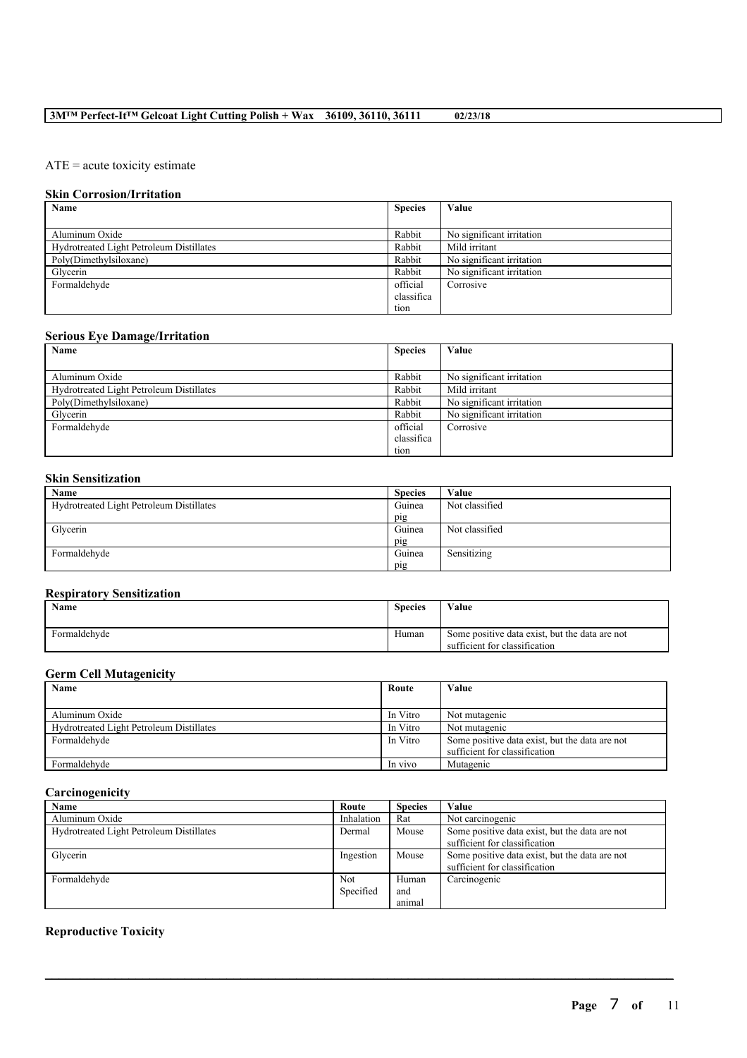# ATE = acute toxicity estimate

# **Skin Corrosion/Irritation**

| Name                                     | <b>Species</b> | Value                     |
|------------------------------------------|----------------|---------------------------|
|                                          |                |                           |
| Aluminum Oxide                           | Rabbit         | No significant irritation |
| Hydrotreated Light Petroleum Distillates | Rabbit         | Mild irritant             |
| Poly(Dimethylsiloxane)                   | Rabbit         | No significant irritation |
| Glycerin                                 | Rabbit         | No significant irritation |
| Formaldehyde                             | official       | Corrosive                 |
|                                          | classifica     |                           |
|                                          | tion           |                           |

## **Serious Eye Damage/Irritation**

| Name                                     | <b>Species</b> | Value                     |
|------------------------------------------|----------------|---------------------------|
|                                          |                |                           |
| Aluminum Oxide                           | Rabbit         | No significant irritation |
| Hydrotreated Light Petroleum Distillates | Rabbit         | Mild irritant             |
| Poly(Dimethylsiloxane)                   | Rabbit         | No significant irritation |
| Glycerin                                 | Rabbit         | No significant irritation |
| Formaldehyde                             | official       | Corrosive                 |
|                                          | classifica     |                           |
|                                          | tion           |                           |

# **Skin Sensitization**

| Name                                     | <b>Species</b> | Value          |
|------------------------------------------|----------------|----------------|
| Hydrotreated Light Petroleum Distillates | Guinea         | Not classified |
|                                          | pig            |                |
| Glycerin                                 | Guinea         | Not classified |
|                                          | pig            |                |
| Formaldehyde                             | Guinea         | Sensitizing    |
|                                          | pig            |                |

# **Respiratory Sensitization**

| Name         | <b>Species</b> | Value                                                                           |
|--------------|----------------|---------------------------------------------------------------------------------|
| Formaldehyde | Human          | Some positive data exist, but the data are not<br>sufficient for classification |

# **Germ Cell Mutagenicity**

| Name                                     | Route    | Value                                          |
|------------------------------------------|----------|------------------------------------------------|
|                                          |          |                                                |
| Aluminum Oxide                           | In Vitro | Not mutagenic                                  |
| Hydrotreated Light Petroleum Distillates | In Vitro | Not mutagenic                                  |
| Formaldehyde                             | In Vitro | Some positive data exist, but the data are not |
|                                          |          | sufficient for classification                  |
| Formaldehyde                             | In vivo  | Mutagenic                                      |

#### **Carcinogenicity**

| Name                                     | Route      | <b>Species</b> | Value                                          |
|------------------------------------------|------------|----------------|------------------------------------------------|
| Aluminum Oxide                           | Inhalation | Rat            | Not carcinogenic                               |
| Hydrotreated Light Petroleum Distillates | Dermal     | Mouse          | Some positive data exist, but the data are not |
|                                          |            |                | sufficient for classification                  |
| Glycerin                                 | Ingestion  | Mouse          | Some positive data exist, but the data are not |
|                                          |            |                | sufficient for classification                  |
| Formaldehyde                             | <b>Not</b> | Human          | Carcinogenic                                   |
|                                          | Specified  | and            |                                                |
|                                          |            | animal         |                                                |

 $\mathcal{L}_\mathcal{L} = \mathcal{L}_\mathcal{L} = \mathcal{L}_\mathcal{L} = \mathcal{L}_\mathcal{L} = \mathcal{L}_\mathcal{L} = \mathcal{L}_\mathcal{L} = \mathcal{L}_\mathcal{L} = \mathcal{L}_\mathcal{L} = \mathcal{L}_\mathcal{L} = \mathcal{L}_\mathcal{L} = \mathcal{L}_\mathcal{L} = \mathcal{L}_\mathcal{L} = \mathcal{L}_\mathcal{L} = \mathcal{L}_\mathcal{L} = \mathcal{L}_\mathcal{L} = \mathcal{L}_\mathcal{L} = \mathcal{L}_\mathcal{L}$ 

# **Reproductive Toxicity**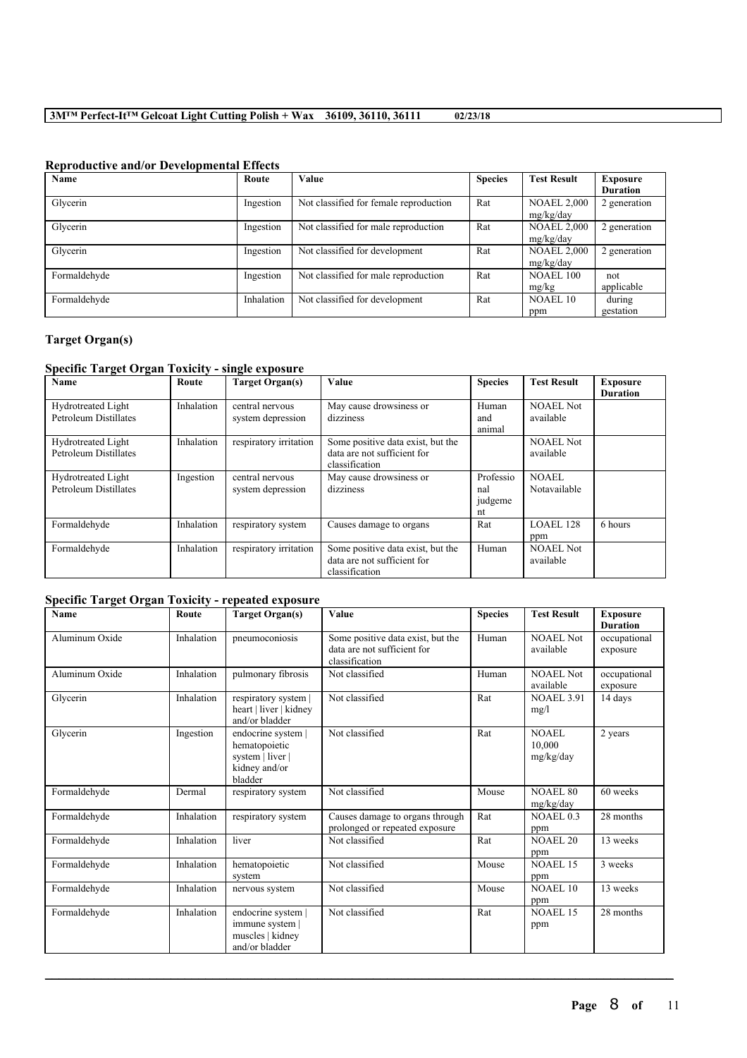| Name         | Route      | Value                                  | <b>Species</b> | <b>Test Result</b> | <b>Exposure</b> |
|--------------|------------|----------------------------------------|----------------|--------------------|-----------------|
|              |            |                                        |                |                    | <b>Duration</b> |
| Glycerin     | Ingestion  | Not classified for female reproduction | Rat            | <b>NOAEL 2,000</b> | 2 generation    |
|              |            |                                        |                | mg/kg/day          |                 |
| Glycerin     | Ingestion  | Not classified for male reproduction   | Rat            | <b>NOAEL 2,000</b> | 2 generation    |
|              |            |                                        |                | mg/kg/day          |                 |
| Glycerin     | Ingestion  | Not classified for development         | Rat            | <b>NOAEL 2,000</b> | 2 generation    |
|              |            |                                        |                | mg/kg/day          |                 |
| Formaldehyde | Ingestion  | Not classified for male reproduction   | Rat            | <b>NOAEL 100</b>   | not             |
|              |            |                                        |                | mg/kg              | applicable      |
| Formaldehyde | Inhalation | Not classified for development         | Rat            | NOAEL 10           | during          |
|              |            |                                        |                | ppm                | gestation       |

# **Reproductive and/or Developmental Effects**

# **Target Organ(s)**

# **Specific Target Organ Toxicity - single exposure**

| <b>Name</b>               | Route      | <b>Target Organ(s)</b> | <b>Value</b>                      | <b>Species</b> | <b>Test Result</b> | <b>Exposure</b> |
|---------------------------|------------|------------------------|-----------------------------------|----------------|--------------------|-----------------|
|                           |            |                        |                                   |                |                    | <b>Duration</b> |
| <b>Hydrotreated Light</b> | Inhalation | central nervous        | May cause drowsiness or           | Human          | <b>NOAEL Not</b>   |                 |
| Petroleum Distillates     |            | system depression      | dizziness                         | and            | available          |                 |
|                           |            |                        |                                   | animal         |                    |                 |
| <b>Hydrotreated Light</b> | Inhalation | respiratory irritation | Some positive data exist, but the |                | <b>NOAEL Not</b>   |                 |
| Petroleum Distillates     |            |                        | data are not sufficient for       |                | available          |                 |
|                           |            |                        | classification                    |                |                    |                 |
| <b>Hydrotreated Light</b> | Ingestion  | central nervous        | May cause drowsiness or           | Professio      | <b>NOAEL</b>       |                 |
| Petroleum Distillates     |            | system depression      | dizziness                         | nal            | Notavailable       |                 |
|                           |            |                        |                                   | judgeme        |                    |                 |
|                           |            |                        |                                   | nt             |                    |                 |
| Formaldehyde              | Inhalation | respiratory system     | Causes damage to organs           | Rat            | $LOAEL$ 128        | 6 hours         |
|                           |            |                        |                                   |                | ppm                |                 |
| Formaldehyde              | Inhalation | respiratory irritation | Some positive data exist, but the | Human          | <b>NOAEL Not</b>   |                 |
|                           |            |                        | data are not sufficient for       |                | available          |                 |
|                           |            |                        | classification                    |                |                    |                 |

# **Specific Target Organ Toxicity - repeated exposure**

| <b>Name</b>    | Route      | <b>Target Organ(s)</b>                                                              | Value                                                                              | <b>Species</b> | <b>Test Result</b>                  | <b>Exposure</b><br><b>Duration</b> |
|----------------|------------|-------------------------------------------------------------------------------------|------------------------------------------------------------------------------------|----------------|-------------------------------------|------------------------------------|
| Aluminum Oxide | Inhalation | pneumoconiosis                                                                      | Some positive data exist, but the<br>data are not sufficient for<br>classification | Human          | <b>NOAEL Not</b><br>available       | occupational<br>exposure           |
| Aluminum Oxide | Inhalation | pulmonary fibrosis                                                                  | Not classified                                                                     | Human          | <b>NOAEL Not</b><br>available       | occupational<br>exposure           |
| Glycerin       | Inhalation | respiratory system  <br>heart   liver   kidney<br>and/or bladder                    | Not classified                                                                     | Rat            | <b>NOAEL 3.91</b><br>mg/l           | 14 days                            |
| Glycerin       | Ingestion  | endocrine system  <br>hematopoietic<br>system   liver  <br>kidney and/or<br>bladder | Not classified                                                                     | Rat            | <b>NOAEL</b><br>10,000<br>mg/kg/day | 2 years                            |
| Formaldehyde   | Dermal     | respiratory system                                                                  | Not classified                                                                     | Mouse          | NOAEL 80<br>mg/kg/day               | 60 weeks                           |
| Formaldehyde   | Inhalation | respiratory system                                                                  | Causes damage to organs through<br>prolonged or repeated exposure                  | Rat            | NOAEL <sub>0.3</sub><br>ppm         | 28 months                          |
| Formaldehyde   | Inhalation | liver                                                                               | Not classified                                                                     | Rat            | <b>NOAEL 20</b><br>ppm              | 13 weeks                           |
| Formaldehyde   | Inhalation | hematopoietic<br>system                                                             | Not classified                                                                     | Mouse          | <b>NOAEL 15</b><br>ppm              | 3 weeks                            |
| Formaldehyde   | Inhalation | nervous system                                                                      | Not classified                                                                     | Mouse          | <b>NOAEL 10</b><br>ppm              | 13 weeks                           |
| Formaldehyde   | Inhalation | endocrine system  <br>immune system  <br>muscles   kidney<br>and/or bladder         | Not classified                                                                     | Rat            | <b>NOAEL 15</b><br>ppm              | 28 months                          |

 $\mathcal{L}_\mathcal{L} = \mathcal{L}_\mathcal{L} = \mathcal{L}_\mathcal{L} = \mathcal{L}_\mathcal{L} = \mathcal{L}_\mathcal{L} = \mathcal{L}_\mathcal{L} = \mathcal{L}_\mathcal{L} = \mathcal{L}_\mathcal{L} = \mathcal{L}_\mathcal{L} = \mathcal{L}_\mathcal{L} = \mathcal{L}_\mathcal{L} = \mathcal{L}_\mathcal{L} = \mathcal{L}_\mathcal{L} = \mathcal{L}_\mathcal{L} = \mathcal{L}_\mathcal{L} = \mathcal{L}_\mathcal{L} = \mathcal{L}_\mathcal{L}$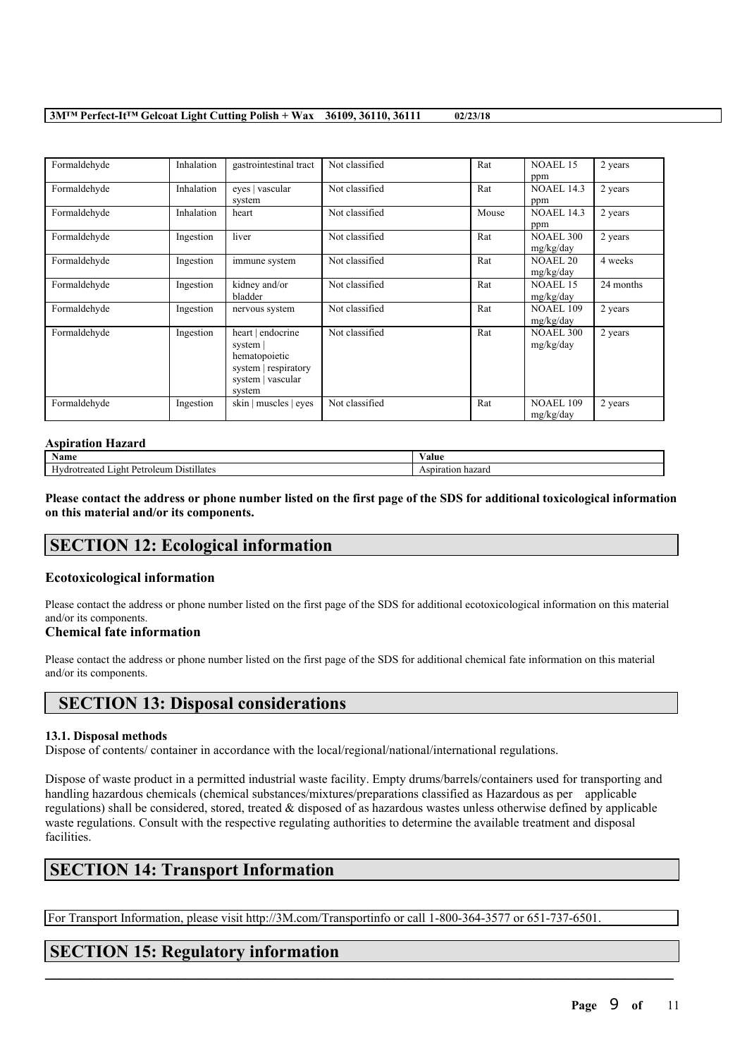| Formaldehyde | Inhalation | gastrointestinal tract                                                                                | Not classified | Rat   | <b>NOAEL 15</b><br>ppm        | 2 years   |
|--------------|------------|-------------------------------------------------------------------------------------------------------|----------------|-------|-------------------------------|-----------|
| Formaldehyde | Inhalation | eves   vascular<br>system                                                                             | Not classified | Rat   | <b>NOAEL 14.3</b><br>ppm      | 2 years   |
| Formaldehyde | Inhalation | heart                                                                                                 | Not classified | Mouse | <b>NOAEL 14.3</b><br>ppm      | 2 years   |
| Formaldehyde | Ingestion  | liver                                                                                                 | Not classified | Rat   | <b>NOAEL 300</b><br>mg/kg/day | 2 years   |
| Formaldehyde | Ingestion  | immune system                                                                                         | Not classified | Rat   | <b>NOAEL 20</b><br>mg/kg/day  | 4 weeks   |
| Formaldehyde | Ingestion  | kidney and/or<br>bladder                                                                              | Not classified | Rat   | <b>NOAEL 15</b><br>mg/kg/day  | 24 months |
| Formaldehyde | Ingestion  | nervous system                                                                                        | Not classified | Rat   | <b>NOAEL 109</b><br>mg/kg/day | 2 years   |
| Formaldehyde | Ingestion  | heart   endocrine<br>system  <br>hematopoietic<br>system   respiratory<br>system   vascular<br>system | Not classified | Rat   | <b>NOAEL 300</b><br>mg/kg/day | 2 years   |
| Formaldehyde | Ingestion  | skin   muscles   eyes                                                                                 | Not classified | Rat   | <b>NOAEL 109</b><br>mg/kg/day | 2 years   |

#### **Aspiration Hazard**

| . .<br>Name                                                           | 'alue                |
|-----------------------------------------------------------------------|----------------------|
| -<br><br>Distillates<br>Petroleum<br>$-0.5$<br>eater<br>- 1 ≭<br>19hf | hazard<br>Aspiration |

Please contact the address or phone number listed on the first page of the SDS for additional toxicological information **on this material and/or its components.**

# **SECTION 12: Ecological information**

## **Ecotoxicological information**

Please contact the address or phone number listed on the first page of the SDS for additional ecotoxicological information on this material and/or its components.

## **Chemical fate information**

Please contact the address or phone number listed on the first page of the SDS for additional chemical fate information on this material and/or its components.

# **SECTION 13: Disposal considerations**

## **13.1. Disposal methods**

Dispose of contents/ container in accordance with the local/regional/national/international regulations.

Dispose of waste product in a permitted industrial waste facility. Empty drums/barrels/containers used for transporting and handling hazardous chemicals (chemical substances/mixtures/preparations classified as Hazardous as per applicable regulations) shall be considered, stored, treated & disposed of as hazardous wastes unless otherwise defined by applicable waste regulations. Consult with the respective regulating authorities to determine the available treatment and disposal **facilities** 

 $\mathcal{L}_\mathcal{L} = \mathcal{L}_\mathcal{L} = \mathcal{L}_\mathcal{L} = \mathcal{L}_\mathcal{L} = \mathcal{L}_\mathcal{L} = \mathcal{L}_\mathcal{L} = \mathcal{L}_\mathcal{L} = \mathcal{L}_\mathcal{L} = \mathcal{L}_\mathcal{L} = \mathcal{L}_\mathcal{L} = \mathcal{L}_\mathcal{L} = \mathcal{L}_\mathcal{L} = \mathcal{L}_\mathcal{L} = \mathcal{L}_\mathcal{L} = \mathcal{L}_\mathcal{L} = \mathcal{L}_\mathcal{L} = \mathcal{L}_\mathcal{L}$ 

# **SECTION 14: Transport Information**

For Transport Information, please visit http://3M.com/Transportinfo or call 1-800-364-3577 or 651-737-6501.

# **SECTION 15: Regulatory information**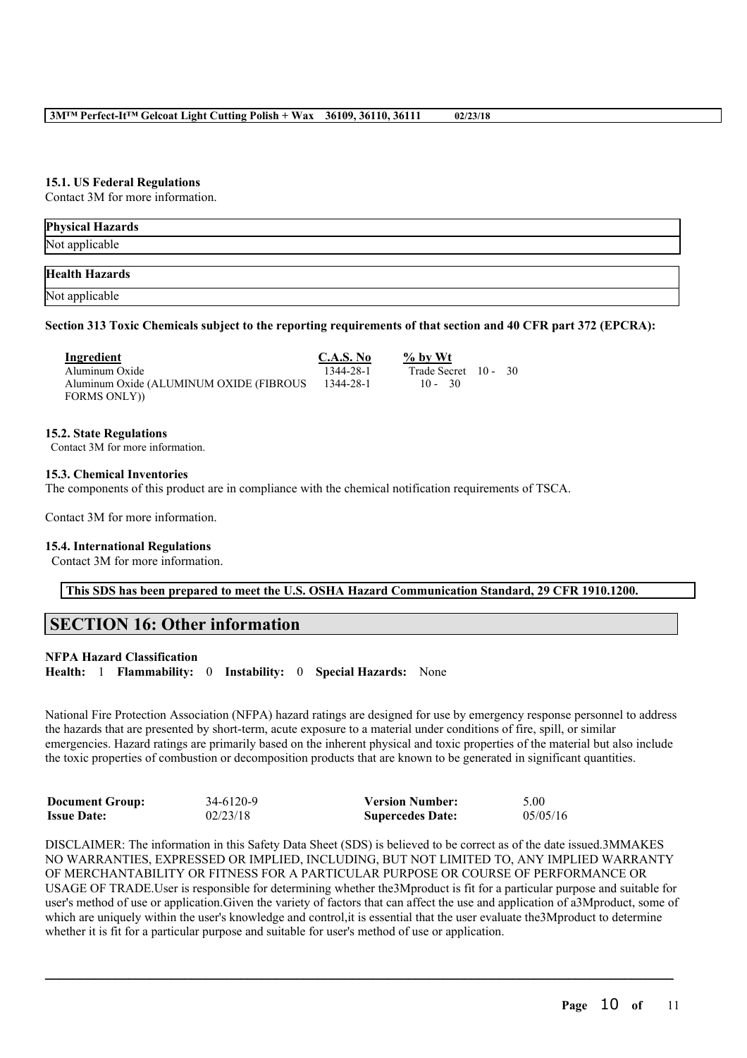## **15.1. US Federal Regulations**

Contact 3M for more information.

| <b>Physical Hazards</b> |  |
|-------------------------|--|
| Not applicable          |  |
|                         |  |
| <b>Health Hazards</b>   |  |

Not applicable

### Section 313 Toxic Chemicals subject to the reporting requirements of that section and 40 CFR part 372 (EPCRA):

| Ingredient                              | C.A.S. No | $\%$ by Wt           |  |
|-----------------------------------------|-----------|----------------------|--|
| Aluminum Oxide                          | 1344-28-1 | Trade Secret 10 - 30 |  |
| Aluminum Oxide (ALUMINUM OXIDE (FIBROUS | 1344-28-1 | $10 - 30$            |  |
| FORMS ONLY))                            |           |                      |  |

## **15.2. State Regulations**

Contact 3M for more information.

#### **15.3. Chemical Inventories**

The components of this product are in compliance with the chemical notification requirements of TSCA.

Contact 3M for more information.

#### **15.4. International Regulations**

Contact 3M for more information.

#### **This SDS has been prepared to meet the U.S. OSHA Hazard Communication Standard, 29 CFR 1910.1200.**

# **SECTION 16: Other information**

# **NFPA Hazard Classification**

**Health:** 1 **Flammability:** 0 **Instability:** 0 **Special Hazards:** None

National Fire Protection Association (NFPA) hazard ratings are designed for use by emergency response personnel to address the hazards that are presented by short-term, acute exposure to a material under conditions of fire, spill, or similar emergencies. Hazard ratings are primarily based on the inherent physical and toxic properties of the material but also include the toxic properties of combustion or decomposition products that are known to be generated in significant quantities.

| <b>Document Group:</b> | 34-6120-9 | <b>Version Number:</b>  | 5.00     |
|------------------------|-----------|-------------------------|----------|
| <b>Issue Date:</b>     | 02/23/18  | <b>Supercedes Date:</b> | 05/05/16 |

DISCLAIMER: The information in this Safety Data Sheet (SDS) is believed to be correct as of the date issued.3MMAKES NO WARRANTIES, EXPRESSED OR IMPLIED, INCLUDING, BUT NOT LIMITED TO, ANY IMPLIED WARRANTY OF MERCHANTABILITY OR FITNESS FOR A PARTICULAR PURPOSE OR COURSE OF PERFORMANCE OR USAGE OF TRADE.User is responsible for determining whether the3Mproduct is fit for a particular purpose and suitable for user's method of use or application.Given the variety of factors that can affect the use and application of a3Mproduct, some of which are uniquely within the user's knowledge and control, it is essential that the user evaluate the 3Mproduct to determine whether it is fit for a particular purpose and suitable for user's method of use or application.

 $\mathcal{L}_\mathcal{L} = \mathcal{L}_\mathcal{L} = \mathcal{L}_\mathcal{L} = \mathcal{L}_\mathcal{L} = \mathcal{L}_\mathcal{L} = \mathcal{L}_\mathcal{L} = \mathcal{L}_\mathcal{L} = \mathcal{L}_\mathcal{L} = \mathcal{L}_\mathcal{L} = \mathcal{L}_\mathcal{L} = \mathcal{L}_\mathcal{L} = \mathcal{L}_\mathcal{L} = \mathcal{L}_\mathcal{L} = \mathcal{L}_\mathcal{L} = \mathcal{L}_\mathcal{L} = \mathcal{L}_\mathcal{L} = \mathcal{L}_\mathcal{L}$